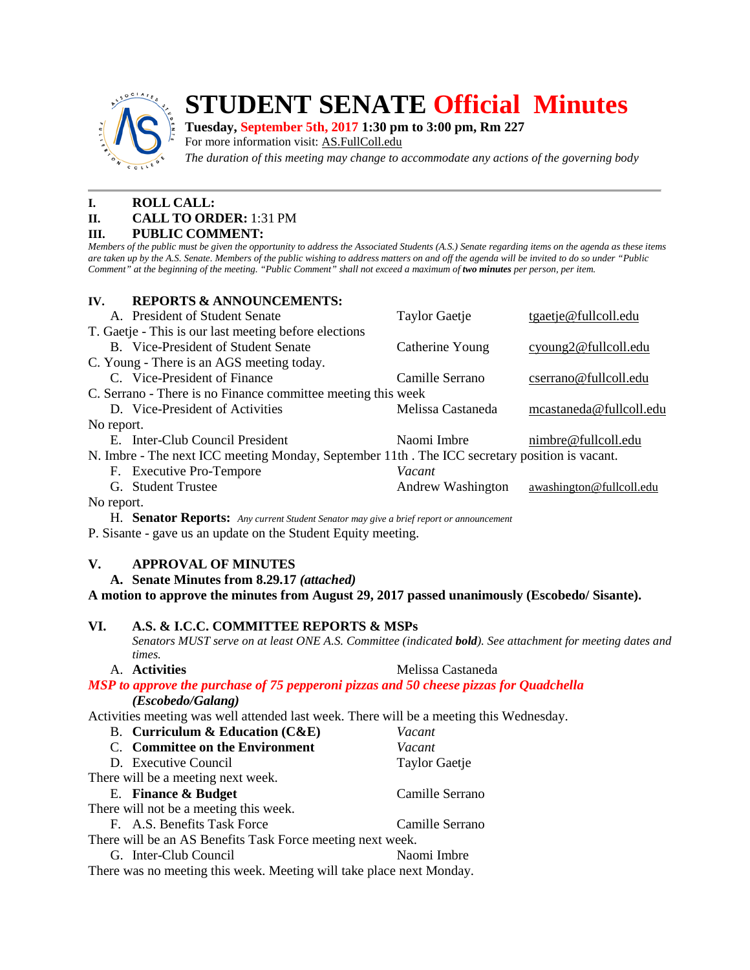

# **STUDENT SENATE Official Minutes**

**Tuesday, September 5th, 2017 1:30 pm to 3:00 pm, Rm 227**

For more information visit: AS.FullColl.edu

*The duration of this meeting may change to accommodate any actions of the governing body*

# **I. ROLL CALL:**

# **II. CALL TO ORDER:** 1:31 PM

#### **III. PUBLIC COMMENT:**

*Members of the public must be given the opportunity to address the Associated Students (A.S.) Senate regarding items on the agenda as these items are taken up by the A.S. Senate. Members of the public wishing to address matters on and off the agenda will be invited to do so under "Public Comment" at the beginning of the meeting. "Public Comment" shall not exceed a maximum of two minutes per person, per item.*

| IV.                                                                                           | <b>REPORTS &amp; ANNOUNCEMENTS:</b> |                      |                          |  |
|-----------------------------------------------------------------------------------------------|-------------------------------------|----------------------|--------------------------|--|
|                                                                                               | A. President of Student Senate      | <b>Taylor Gaetje</b> | tgaetje@fullcoll.edu     |  |
| T. Gaetje - This is our last meeting before elections                                         |                                     |                      |                          |  |
|                                                                                               | B. Vice-President of Student Senate | Catherine Young      | cyoung2@fullcoll.edu     |  |
| C. Young - There is an AGS meeting today.                                                     |                                     |                      |                          |  |
|                                                                                               | C. Vice-President of Finance        | Camille Serrano      | cserrano@fullcoll.edu    |  |
| C. Serrano - There is no Finance committee meeting this week                                  |                                     |                      |                          |  |
|                                                                                               | D. Vice-President of Activities     | Melissa Castaneda    | mcastaneda@fullcoll.edu  |  |
| No report.                                                                                    |                                     |                      |                          |  |
|                                                                                               | E. Inter-Club Council President     | Naomi Imbre          | nimbre@fullcoll.edu      |  |
| N. Imbre - The next ICC meeting Monday, September 11th. The ICC secretary position is vacant. |                                     |                      |                          |  |
|                                                                                               | F. Executive Pro-Tempore            | Vacant               |                          |  |
|                                                                                               | G. Student Trustee                  | Andrew Washington    | awashington@fullcoll.edu |  |
| No report.                                                                                    |                                     |                      |                          |  |

H. **Senator Reports:** *Any current Student Senator may give a brief report or announcement* P. Sisante - gave us an update on the Student Equity meeting.

# **V. APPROVAL OF MINUTES**

**A. Senate Minutes from 8.29.17** *(attached)*

**A motion to approve the minutes from August 29, 2017 passed unanimously (Escobedo/ Sisante).**

# **VI. A.S. & I.C.C. COMMITTEE REPORTS & MSPs**

*Senators MUST serve on at least ONE A.S. Committee (indicated bold). See attachment for meeting dates and times.*

| A. Activities              | Melissa Castaneda                                                                      |  |  |
|----------------------------|----------------------------------------------------------------------------------------|--|--|
|                            | MSP to approve the purchase of 75 pepperoni pizzas and 50 cheese pizzas for Quadchella |  |  |
| ( <i>Escobedo/Galang</i> ) |                                                                                        |  |  |

Activities meeting was well attended last week. There will be a meeting this Wednesday.

|                                                                      | B. Curriculum & Education $(CAE)$ | Vacant               |  |  |
|----------------------------------------------------------------------|-----------------------------------|----------------------|--|--|
|                                                                      | C. Committee on the Environment   | Vacant               |  |  |
|                                                                      | D. Executive Council              | <b>Taylor Gaetje</b> |  |  |
| There will be a meeting next week.                                   |                                   |                      |  |  |
|                                                                      | E. Finance & Budget               | Camille Serrano      |  |  |
| There will not be a meeting this week.                               |                                   |                      |  |  |
|                                                                      | F. A.S. Benefits Task Force       | Camille Serrano      |  |  |
| There will be an AS Benefits Task Force meeting next week.           |                                   |                      |  |  |
|                                                                      | G. Inter-Club Council             | Naomi Imbre          |  |  |
| There was no meeting this week. Meeting will take place next Monday. |                                   |                      |  |  |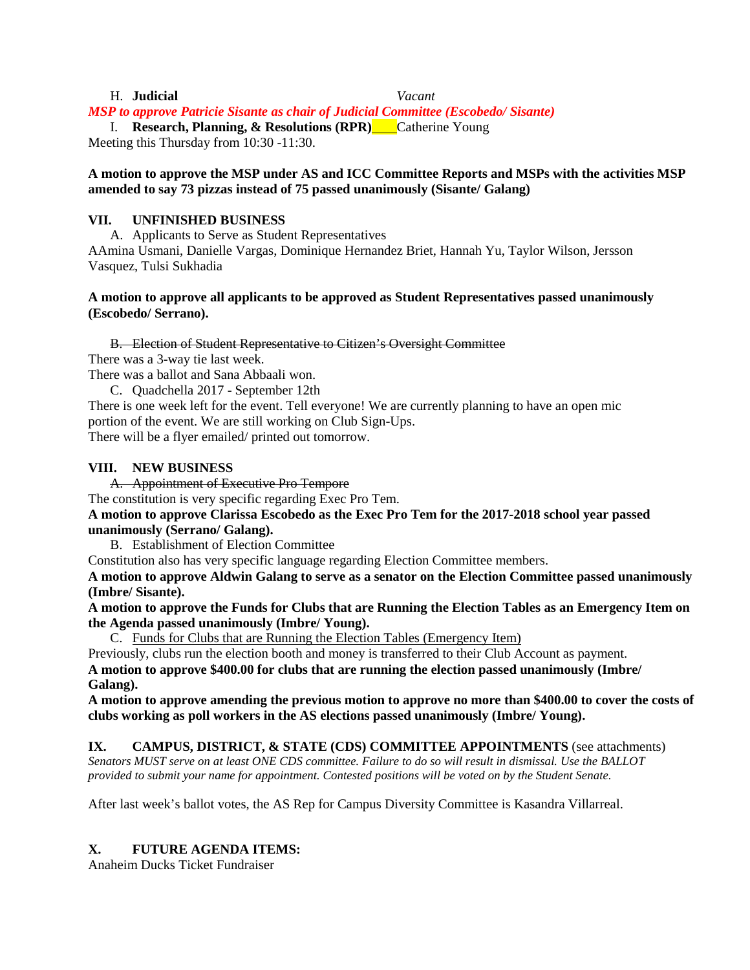#### H. **Judicial** *Vacant*

# *MSP to approve Patricie Sisante as chair of Judicial Committee (Escobedo/ Sisante)*

I. **Research, Planning, & Resolutions (RPR)** Catherine Young

Meeting this Thursday from 10:30 -11:30.

#### **A motion to approve the MSP under AS and ICC Committee Reports and MSPs with the activities MSP amended to say 73 pizzas instead of 75 passed unanimously (Sisante/ Galang)**

# **VII. UNFINISHED BUSINESS**

A. Applicants to Serve as Student Representatives AAmina Usmani, Danielle Vargas, Dominique Hernandez Briet, Hannah Yu, Taylor Wilson, Jersson Vasquez, Tulsi Sukhadia

#### **A motion to approve all applicants to be approved as Student Representatives passed unanimously (Escobedo/ Serrano).**

B. Election of Student Representative to Citizen's Oversight Committee

There was a 3-way tie last week.

There was a ballot and Sana Abbaali won.

C. Quadchella 2017 - September 12th

There is one week left for the event. Tell everyone! We are currently planning to have an open mic portion of the event. We are still working on Club Sign-Ups. There will be a flyer emailed/ printed out tomorrow.

# **VIII. NEW BUSINESS**

A. Appointment of Executive Pro Tempore

The constitution is very specific regarding Exec Pro Tem.

**A motion to approve Clarissa Escobedo as the Exec Pro Tem for the 2017-2018 school year passed unanimously (Serrano/ Galang).**

B. Establishment of Election Committee

Constitution also has very specific language regarding Election Committee members.

**A motion to approve Aldwin Galang to serve as a senator on the Election Committee passed unanimously (Imbre/ Sisante).**

**A motion to approve the Funds for Clubs that are Running the Election Tables as an Emergency Item on the Agenda passed unanimously (Imbre/ Young).**

C. Funds for Clubs that are Running the Election Tables (Emergency Item)

Previously, clubs run the election booth and money is transferred to their Club Account as payment. **A motion to approve \$400.00 for clubs that are running the election passed unanimously (Imbre/ Galang).**

**A motion to approve amending the previous motion to approve no more than \$400.00 to cover the costs of clubs working as poll workers in the AS elections passed unanimously (Imbre/ Young).** 

**IX. CAMPUS, DISTRICT, & STATE (CDS) COMMITTEE APPOINTMENTS** (see attachments) *Senators MUST serve on at least ONE CDS committee. Failure to do so will result in dismissal. Use the BALLOT provided to submit your name for appointment. Contested positions will be voted on by the Student Senate.*

After last week's ballot votes, the AS Rep for Campus Diversity Committee is Kasandra Villarreal.

# **X. FUTURE AGENDA ITEMS:**

Anaheim Ducks Ticket Fundraiser